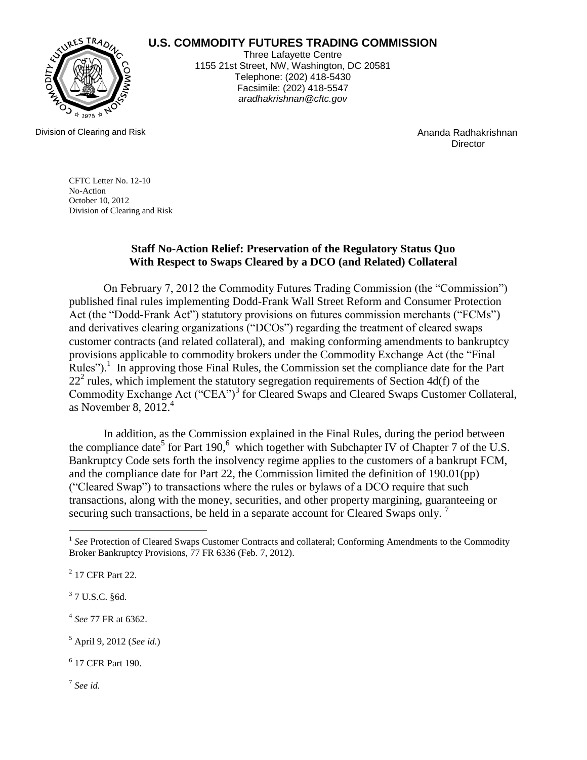## **U.S. COMMODITY FUTURES TRADING COMMISSION**



Three Lafayette Centre 1155 21st Street, NW, Washington, DC 20581 Telephone: (202) 418-5430 Facsimile: (202) 418-5547 *aradhakrishnan@cftc.gov*

> Ananda Radhakrishnan **Director**

Division of Clearing and Risk

CFTC Letter No. 12-10 No-Action October 10, 2012 Division of Clearing and Risk

## **Staff No-Action Relief: Preservation of the Regulatory Status Quo With Respect to Swaps Cleared by a DCO (and Related) Collateral**

On February 7, 2012 the Commodity Futures Trading Commission (the "Commission") published final rules implementing Dodd-Frank Wall Street Reform and Consumer Protection Act (the "Dodd-Frank Act") statutory provisions on futures commission merchants ("FCMs") and derivatives clearing organizations ("DCOs") regarding the treatment of cleared swaps customer contracts (and related collateral), and making conforming amendments to bankruptcy provisions applicable to commodity brokers under the Commodity Exchange Act (the "Final Rules").<sup>1</sup> In approving those Final Rules, the Commission set the compliance date for the Part  $22<sup>2</sup>$  rules, which implement the statutory segregation requirements of Section 4d(f) of the Commodity Exchange Act ("CEA")<sup>3</sup> for Cleared Swaps and Cleared Swaps Customer Collateral, as November 8, 2012. $4$ 

In addition, as the Commission explained in the Final Rules, during the period between the compliance date<sup>5</sup> for Part 190,<sup>6</sup> which together with Subchapter IV of Chapter 7 of the U.S. Bankruptcy Code sets forth the insolvency regime applies to the customers of a bankrupt FCM, and the compliance date for Part 22, the Commission limited the definition of 190.01(pp) ("Cleared Swap") to transactions where the rules or bylaws of a DCO require that such transactions, along with the money, securities, and other property margining, guaranteeing or securing such transactions, be held in a separate account for Cleared Swaps only.<sup>7</sup>

 $\overline{a}$ 

 $3$  7 U.S.C. §6d.

4 *See* 77 FR at 6362.

- <sup>5</sup> April 9, 2012 (*See id.*)
- 6 17 CFR Part 190.

7 *See id.*

<sup>&</sup>lt;sup>1</sup> See Protection of Cleared Swaps Customer Contracts and collateral; Conforming Amendments to the Commodity Broker Bankruptcy Provisions, 77 FR 6336 (Feb. 7, 2012).

<sup>&</sup>lt;sup>2</sup> 17 CFR Part 22.